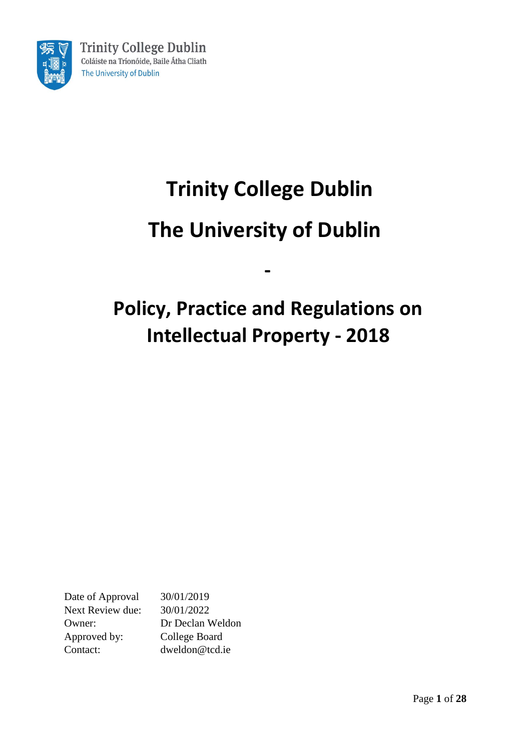

# **Trinity College Dublin The University of Dublin**

# **Policy, Practice and Regulations on Intellectual Property - 2018**

**-**

Date of Approval 30/01/2019 Next Review due: 30/01/2022 Owner: Dr Declan Weldon Approved by: College Board Contact: dweldon@tcd.ie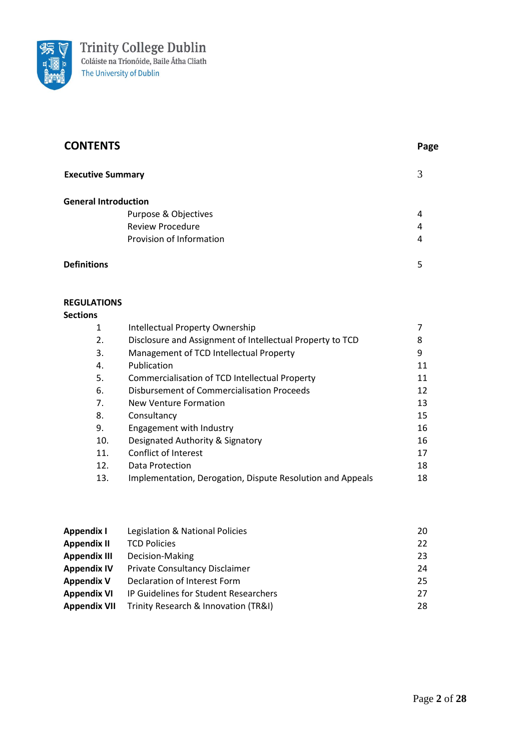

| <b>CONTENTS</b>             |                          | Page |
|-----------------------------|--------------------------|------|
| <b>Executive Summary</b>    |                          | 3    |
| <b>General Introduction</b> |                          |      |
|                             | Purpose & Objectives     | 4    |
|                             | <b>Review Procedure</b>  | 4    |
|                             | Provision of Information | 4    |
| <b>Definitions</b>          |                          | 5    |

### **REGULATIONS**

#### **Sections**

| 1   | Intellectual Property Ownership                            |    |
|-----|------------------------------------------------------------|----|
| 2.  | Disclosure and Assignment of Intellectual Property to TCD  | 8  |
| 3.  | Management of TCD Intellectual Property                    | 9  |
| 4.  | Publication                                                | 11 |
| 5.  | Commercialisation of TCD Intellectual Property             | 11 |
| 6.  | Disbursement of Commercialisation Proceeds                 | 12 |
| 7.  | New Venture Formation                                      | 13 |
| 8.  | Consultancy                                                | 15 |
| 9.  | Engagement with Industry                                   | 16 |
| 10. | Designated Authority & Signatory                           | 16 |
| 11. | Conflict of Interest                                       | 17 |
| 12. | Data Protection                                            | 18 |
| 13. | Implementation, Derogation, Dispute Resolution and Appeals | 18 |

| Appendix I          | Legislation & National Policies       | 20 |
|---------------------|---------------------------------------|----|
| <b>Appendix II</b>  | <b>TCD Policies</b>                   | 22 |
| <b>Appendix III</b> | Decision-Making                       | 23 |
| <b>Appendix IV</b>  | Private Consultancy Disclaimer        | 24 |
| <b>Appendix V</b>   | Declaration of Interest Form          | 25 |
| <b>Appendix VI</b>  | IP Guidelines for Student Researchers | 27 |
| <b>Appendix VII</b> | Trinity Research & Innovation (TR&I)  | 28 |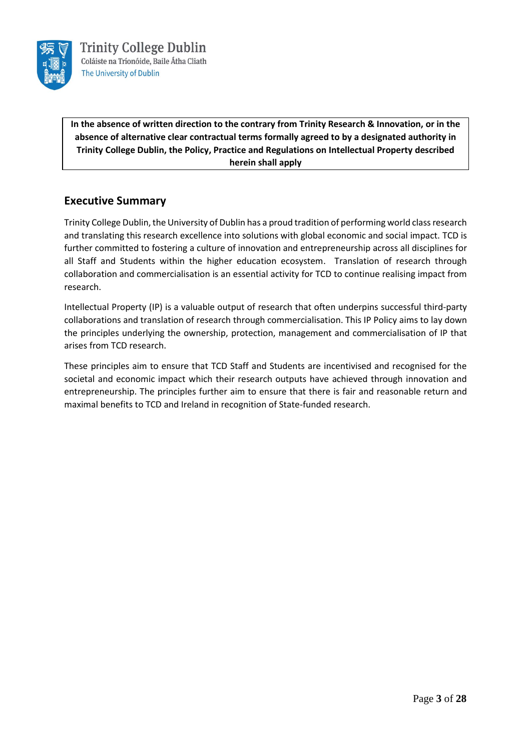

**In the absence of written direction to the contrary from Trinity Research & Innovation, or in the absence of alternative clear contractual terms formally agreed to by a designated authority in Trinity College Dublin, the Policy, Practice and Regulations on Intellectual Property described herein shall apply**

## **Executive Summary**

Trinity College Dublin, the University of Dublin has a proud tradition of performing world class research and translating this research excellence into solutions with global economic and social impact. TCD is further committed to fostering a culture of innovation and entrepreneurship across all disciplines for all Staff and Students within the higher education ecosystem. Translation of research through collaboration and commercialisation is an essential activity for TCD to continue realising impact from research.

Intellectual Property (IP) is a valuable output of research that often underpins successful third-party collaborations and translation of research through commercialisation. This IP Policy aims to lay down the principles underlying the ownership, protection, management and commercialisation of IP that arises from TCD research.

These principles aim to ensure that TCD Staff and Students are incentivised and recognised for the societal and economic impact which their research outputs have achieved through innovation and entrepreneurship. The principles further aim to ensure that there is fair and reasonable return and maximal benefits to TCD and Ireland in recognition of State-funded research.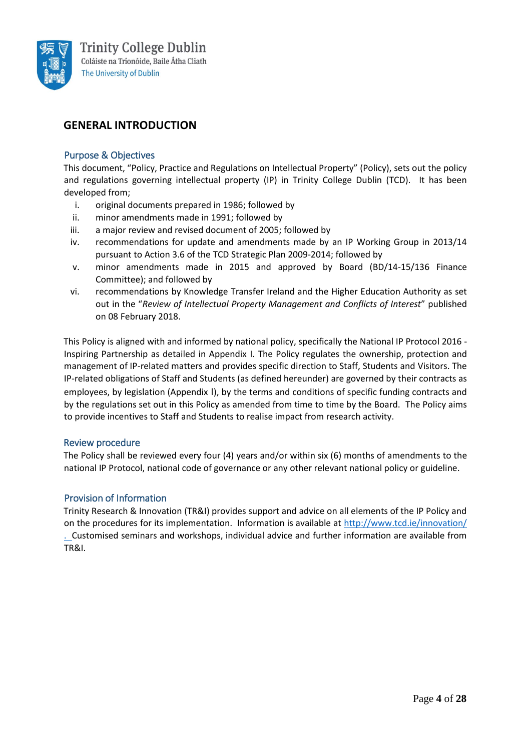

# **GENERAL INTRODUCTION**

#### Purpose & Objectives

This document, "Policy, Practice and Regulations on Intellectual Property" (Policy), sets out the policy and regulations governing intellectual property (IP) in Trinity College Dublin (TCD). It has been developed from;

- i. original documents prepared in 1986; followed by
- ii. minor amendments made in 1991; followed by
- iii. a major review and revised document of 2005; followed by
- iv. recommendations for update and amendments made by an IP Working Group in 2013/14 pursuant to Action 3.6 of the TCD Strategic Plan 2009-2014; followed by
- v. minor amendments made in 2015 and approved by Board (BD/14-15/136 Finance Committee); and followed by
- vi. recommendations by Knowledge Transfer Ireland and the Higher Education Authority as set out in the "*Review of Intellectual Property Management and Conflicts of Interest*" published on 08 February 2018.

This Policy is aligned with and informed by national policy, specifically the National IP Protocol 2016 - Inspiring Partnership as detailed in Appendix I. The Policy regulates the ownership, protection and management of IP-related matters and provides specific direction to Staff, Students and Visitors. The IP-related obligations of Staff and Students (as defined hereunder) are governed by their contracts as employees, by legislation (Appendix I), by the terms and conditions of specific funding contracts and by the regulations set out in this Policy as amended from time to time by the Board. The Policy aims to provide incentives to Staff and Students to realise impact from research activity.

#### Review procedure

The Policy shall be reviewed every four (4) years and/or within six (6) months of amendments to the national IP Protocol, national code of governance or any other relevant national policy or guideline.

#### Provision of Information

Trinity Research & Innovation (TR&I) provides support and advice on all elements of the IP Policy and on the procedures for its implementation. Information is available at<http://www.tcd.ie/innovation/> . Customised seminars and workshops, individual advice and further information are available from TR&I.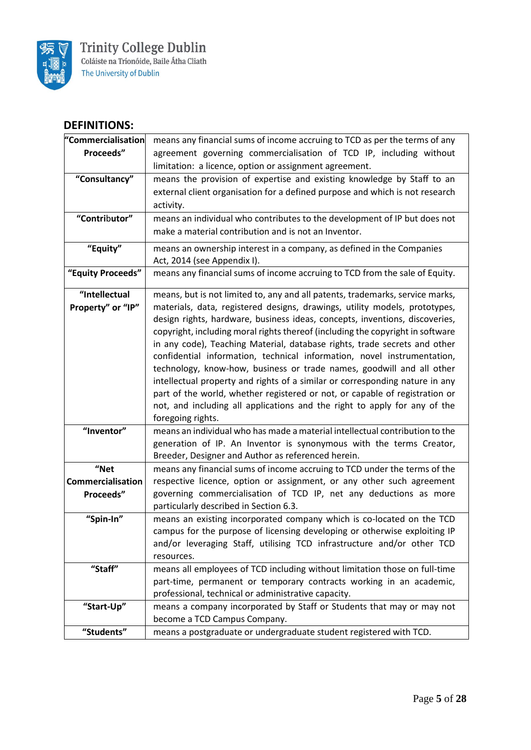

# **DEFINITIONS:**

| "Commercialisation                 | means any financial sums of income accruing to TCD as per the terms of any                                                                                                                                                                                                                                                                                                                                                                                                                                                                                                                                                                                                                                                                                                                                                     |
|------------------------------------|--------------------------------------------------------------------------------------------------------------------------------------------------------------------------------------------------------------------------------------------------------------------------------------------------------------------------------------------------------------------------------------------------------------------------------------------------------------------------------------------------------------------------------------------------------------------------------------------------------------------------------------------------------------------------------------------------------------------------------------------------------------------------------------------------------------------------------|
| Proceeds"                          | agreement governing commercialisation of TCD IP, including without                                                                                                                                                                                                                                                                                                                                                                                                                                                                                                                                                                                                                                                                                                                                                             |
|                                    | limitation: a licence, option or assignment agreement.                                                                                                                                                                                                                                                                                                                                                                                                                                                                                                                                                                                                                                                                                                                                                                         |
| "Consultancy"                      | means the provision of expertise and existing knowledge by Staff to an<br>external client organisation for a defined purpose and which is not research<br>activity.                                                                                                                                                                                                                                                                                                                                                                                                                                                                                                                                                                                                                                                            |
| "Contributor"                      | means an individual who contributes to the development of IP but does not<br>make a material contribution and is not an Inventor.                                                                                                                                                                                                                                                                                                                                                                                                                                                                                                                                                                                                                                                                                              |
| "Equity"                           | means an ownership interest in a company, as defined in the Companies<br>Act, 2014 (see Appendix I).                                                                                                                                                                                                                                                                                                                                                                                                                                                                                                                                                                                                                                                                                                                           |
| "Equity Proceeds"                  | means any financial sums of income accruing to TCD from the sale of Equity.                                                                                                                                                                                                                                                                                                                                                                                                                                                                                                                                                                                                                                                                                                                                                    |
| "Intellectual<br>Property" or "IP" | means, but is not limited to, any and all patents, trademarks, service marks,<br>materials, data, registered designs, drawings, utility models, prototypes,<br>design rights, hardware, business ideas, concepts, inventions, discoveries,<br>copyright, including moral rights thereof (including the copyright in software<br>in any code), Teaching Material, database rights, trade secrets and other<br>confidential information, technical information, novel instrumentation,<br>technology, know-how, business or trade names, goodwill and all other<br>intellectual property and rights of a similar or corresponding nature in any<br>part of the world, whether registered or not, or capable of registration or<br>not, and including all applications and the right to apply for any of the<br>foregoing rights. |
| "Inventor"                         | means an individual who has made a material intellectual contribution to the<br>generation of IP. An Inventor is synonymous with the terms Creator,<br>Breeder, Designer and Author as referenced herein.                                                                                                                                                                                                                                                                                                                                                                                                                                                                                                                                                                                                                      |
| "Net                               | means any financial sums of income accruing to TCD under the terms of the                                                                                                                                                                                                                                                                                                                                                                                                                                                                                                                                                                                                                                                                                                                                                      |
| <b>Commercialisation</b>           | respective licence, option or assignment, or any other such agreement                                                                                                                                                                                                                                                                                                                                                                                                                                                                                                                                                                                                                                                                                                                                                          |
| Proceeds"                          | governing commercialisation of TCD IP, net any deductions as more<br>particularly described in Section 6.3.                                                                                                                                                                                                                                                                                                                                                                                                                                                                                                                                                                                                                                                                                                                    |
| "Spin-In"                          | means an existing incorporated company which is co-located on the TCD<br>campus for the purpose of licensing developing or otherwise exploiting IP<br>and/or leveraging Staff, utilising TCD infrastructure and/or other TCD<br>resources.                                                                                                                                                                                                                                                                                                                                                                                                                                                                                                                                                                                     |
| "Staff"                            | means all employees of TCD including without limitation those on full-time<br>part-time, permanent or temporary contracts working in an academic,<br>professional, technical or administrative capacity.                                                                                                                                                                                                                                                                                                                                                                                                                                                                                                                                                                                                                       |
| "Start-Up"                         | means a company incorporated by Staff or Students that may or may not<br>become a TCD Campus Company.                                                                                                                                                                                                                                                                                                                                                                                                                                                                                                                                                                                                                                                                                                                          |
| "Students"                         | means a postgraduate or undergraduate student registered with TCD.                                                                                                                                                                                                                                                                                                                                                                                                                                                                                                                                                                                                                                                                                                                                                             |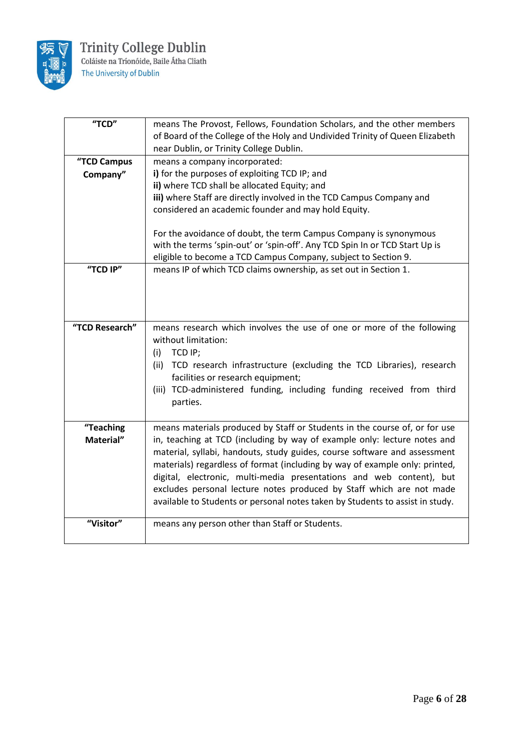

| "TCD"          | means The Provost, Fellows, Foundation Scholars, and the other members        |
|----------------|-------------------------------------------------------------------------------|
|                | of Board of the College of the Holy and Undivided Trinity of Queen Elizabeth  |
|                | near Dublin, or Trinity College Dublin.                                       |
| "TCD Campus    | means a company incorporated:                                                 |
| Company"       | i) for the purposes of exploiting TCD IP; and                                 |
|                | ii) where TCD shall be allocated Equity; and                                  |
|                | iii) where Staff are directly involved in the TCD Campus Company and          |
|                | considered an academic founder and may hold Equity.                           |
|                |                                                                               |
|                | For the avoidance of doubt, the term Campus Company is synonymous             |
|                | with the terms 'spin-out' or 'spin-off'. Any TCD Spin In or TCD Start Up is   |
|                | eligible to become a TCD Campus Company, subject to Section 9.                |
| "TCD IP"       | means IP of which TCD claims ownership, as set out in Section 1.              |
|                |                                                                               |
|                |                                                                               |
|                |                                                                               |
|                |                                                                               |
| "TCD Research" | means research which involves the use of one or more of the following         |
|                | without limitation:                                                           |
|                | TCD IP;<br>(i)                                                                |
|                | TCD research infrastructure (excluding the TCD Libraries), research<br>(ii)   |
|                | facilities or research equipment;                                             |
|                | (iii) TCD-administered funding, including funding received from third         |
|                | parties.                                                                      |
|                |                                                                               |
| "Teaching      | means materials produced by Staff or Students in the course of, or for use    |
| Material"      | in, teaching at TCD (including by way of example only: lecture notes and      |
|                | material, syllabi, handouts, study guides, course software and assessment     |
|                | materials) regardless of format (including by way of example only: printed,   |
|                | digital, electronic, multi-media presentations and web content), but          |
|                | excludes personal lecture notes produced by Staff which are not made          |
|                | available to Students or personal notes taken by Students to assist in study. |
|                |                                                                               |
| "Visitor"      | means any person other than Staff or Students.                                |
|                |                                                                               |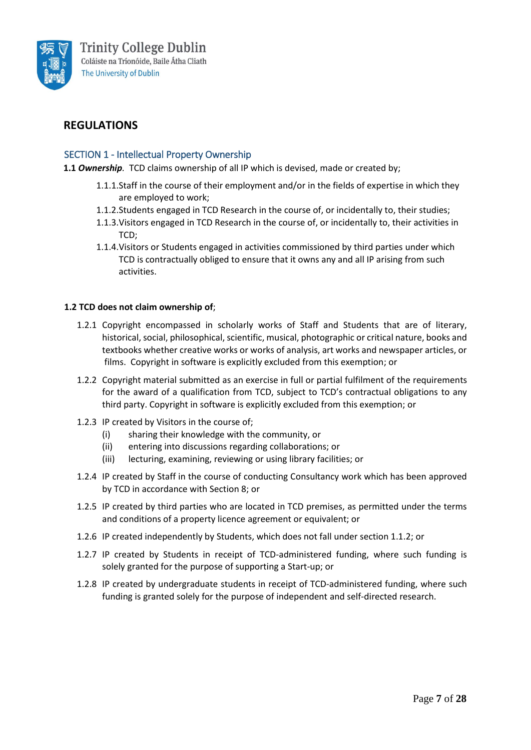

# **REGULATIONS**

#### SECTION 1 - Intellectual Property Ownership

**1.1** *Ownership.* TCD claims ownership of all IP which is devised, made or created by;

- 1.1.1.Staff in the course of their employment and/or in the fields of expertise in which they are employed to work;
- 1.1.2.Students engaged in TCD Research in the course of, or incidentally to, their studies;
- 1.1.3.Visitors engaged in TCD Research in the course of, or incidentally to, their activities in TCD;
- 1.1.4.Visitors or Students engaged in activities commissioned by third parties under which TCD is contractually obliged to ensure that it owns any and all IP arising from such activities.

#### **1.2 TCD does not claim ownership of**;

- 1.2.1 Copyright encompassed in scholarly works of Staff and Students that are of literary, historical, social, philosophical, scientific, musical, photographic or critical nature, books and textbooks whether creative works or works of analysis, art works and newspaper articles, or films. Copyright in software is explicitly excluded from this exemption; or
- 1.2.2 Copyright material submitted as an exercise in full or partial fulfilment of the requirements for the award of a qualification from TCD, subject to TCD's contractual obligations to any third party. Copyright in software is explicitly excluded from this exemption; or
- 1.2.3 IP created by Visitors in the course of;
	- (i) sharing their knowledge with the community, or
	- (ii) entering into discussions regarding collaborations; or
	- (iii) lecturing, examining, reviewing or using library facilities; or
- 1.2.4 IP created by Staff in the course of conducting Consultancy work which has been approved by TCD in accordance with Section 8; or
- 1.2.5 IP created by third parties who are located in TCD premises, as permitted under the terms and conditions of a property licence agreement or equivalent; or
- 1.2.6 IP created independently by Students, which does not fall under section 1.1.2; or
- 1.2.7 IP created by Students in receipt of TCD-administered funding, where such funding is solely granted for the purpose of supporting a Start-up; or
- 1.2.8 IP created by undergraduate students in receipt of TCD-administered funding, where such funding is granted solely for the purpose of independent and self-directed research.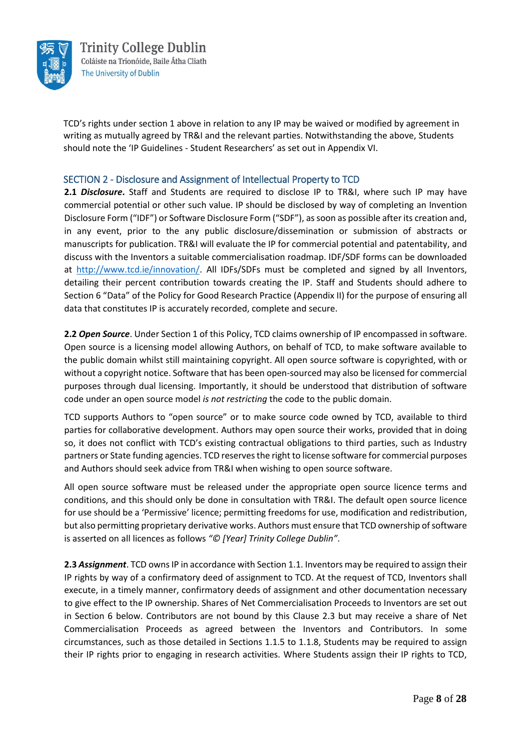

TCD's rights under section 1 above in relation to any IP may be waived or modified by agreement in writing as mutually agreed by TR&I and the relevant parties. Notwithstanding the above, Students should note the 'IP Guidelines - Student Researchers' as set out in Appendix VI.

#### SECTION 2 - Disclosure and Assignment of Intellectual Property to TCD

**2.1** *Disclosure***.** Staff and Students are required to disclose IP to TR&I, where such IP may have commercial potential or other such value. IP should be disclosed by way of completing an Invention Disclosure Form ("IDF") or Software Disclosure Form ("SDF"), as soon as possible after its creation and, in any event, prior to the any public disclosure/dissemination or submission of abstracts or manuscripts for publication. TR&I will evaluate the IP for commercial potential and patentability, and discuss with the Inventors a suitable commercialisation roadmap. IDF/SDF forms can be downloaded at [http://www.tcd.ie/innovation/.](http://www.tcd.ie/innovation/) All IDFs/SDFs must be completed and signed by all Inventors, detailing their percent contribution towards creating the IP. Staff and Students should adhere to Section 6 "Data" of the Policy for Good Research Practice (Appendix II) for the purpose of ensuring all data that constitutes IP is accurately recorded, complete and secure.

**2.2** *Open Source*. Under Section 1 of this Policy, TCD claims ownership of IP encompassed in software. Open source is a licensing model allowing Authors, on behalf of TCD, to make software available to the public domain whilst still maintaining copyright. All open source software is copyrighted, with or without a copyright notice. Software that has been open-sourced may also be licensed for commercial purposes through dual licensing. Importantly, it should be understood that distribution of software code under an open source model *is not restricting* the code to the public domain.

TCD supports Authors to "open source" or to make source code owned by TCD, available to third parties for collaborative development. Authors may open source their works, provided that in doing so, it does not conflict with TCD's existing contractual obligations to third parties, such as Industry partners or State funding agencies. TCD reserves the right to license software for commercial purposes and Authors should seek advice from TR&I when wishing to open source software.

All open source software must be released under the appropriate open source licence terms and conditions, and this should only be done in consultation with TR&I. The default open source licence for use should be a 'Permissive' licence; permitting freedoms for use, modification and redistribution, but also permitting proprietary derivative works. Authors must ensure that TCD ownership of software is asserted on all licences as follows *"© [Year] Trinity College Dublin"*.

**2.3** *Assignment*. TCD owns IP in accordance with Section 1.1. Inventors may be required to assign their IP rights by way of a confirmatory deed of assignment to TCD. At the request of TCD, Inventors shall execute, in a timely manner, confirmatory deeds of assignment and other documentation necessary to give effect to the IP ownership. Shares of Net Commercialisation Proceeds to Inventors are set out in Section 6 below. Contributors are not bound by this Clause 2.3 but may receive a share of Net Commercialisation Proceeds as agreed between the Inventors and Contributors. In some circumstances, such as those detailed in Sections 1.1.5 to 1.1.8, Students may be required to assign their IP rights prior to engaging in research activities. Where Students assign their IP rights to TCD,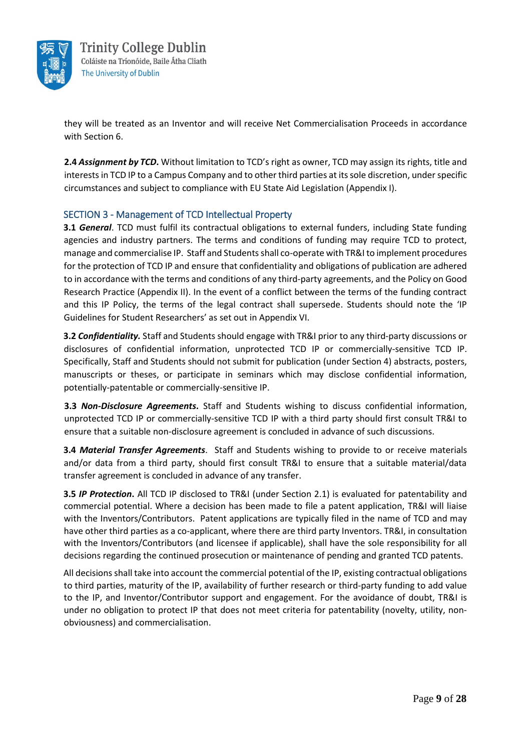

they will be treated as an Inventor and will receive Net Commercialisation Proceeds in accordance with Section 6.

**2.4** *Assignment by TCD***.** Without limitation to TCD's right as owner, TCD may assign its rights, title and interests in TCD IP to a Campus Company and to other third parties at its sole discretion, under specific circumstances and subject to compliance with EU State Aid Legislation (Appendix I).

#### SECTION 3 - Management of TCD Intellectual Property

**3.1** *General*. TCD must fulfil its contractual obligations to external funders, including State funding agencies and industry partners. The terms and conditions of funding may require TCD to protect, manage and commercialise IP. Staff and Students shall co-operate with TR&I to implement procedures for the protection of TCD IP and ensure that confidentiality and obligations of publication are adhered to in accordance with the terms and conditions of any third-party agreements, and the Policy on Good Research Practice (Appendix II). In the event of a conflict between the terms of the funding contract and this IP Policy, the terms of the legal contract shall supersede. Students should note the 'IP Guidelines for Student Researchers' as set out in Appendix VI.

**3.2** *Confidentiality.* Staff and Students should engage with TR&I prior to any third-party discussions or disclosures of confidential information, unprotected TCD IP or commercially-sensitive TCD IP. Specifically, Staff and Students should not submit for publication (under Section 4) abstracts, posters, manuscripts or theses, or participate in seminars which may disclose confidential information, potentially-patentable or commercially-sensitive IP.

**3.3** *Non-Disclosure Agreements***.** Staff and Students wishing to discuss confidential information, unprotected TCD IP or commercially-sensitive TCD IP with a third party should first consult TR&I to ensure that a suitable non-disclosure agreement is concluded in advance of such discussions.

**3.4** *Material Transfer Agreements*. Staff and Students wishing to provide to or receive materials and/or data from a third party, should first consult TR&I to ensure that a suitable material/data transfer agreement is concluded in advance of any transfer.

**3.5** *IP Protection***.** All TCD IP disclosed to TR&I (under Section 2.1) is evaluated for patentability and commercial potential. Where a decision has been made to file a patent application, TR&I will liaise with the Inventors/Contributors. Patent applications are typically filed in the name of TCD and may have other third parties as a co-applicant, where there are third party Inventors. TR&I, in consultation with the Inventors/Contributors (and licensee if applicable), shall have the sole responsibility for all decisions regarding the continued prosecution or maintenance of pending and granted TCD patents.

All decisions shall take into account the commercial potential of the IP, existing contractual obligations to third parties, maturity of the IP, availability of further research or third-party funding to add value to the IP, and Inventor/Contributor support and engagement. For the avoidance of doubt, TR&I is under no obligation to protect IP that does not meet criteria for patentability (novelty, utility, nonobviousness) and commercialisation.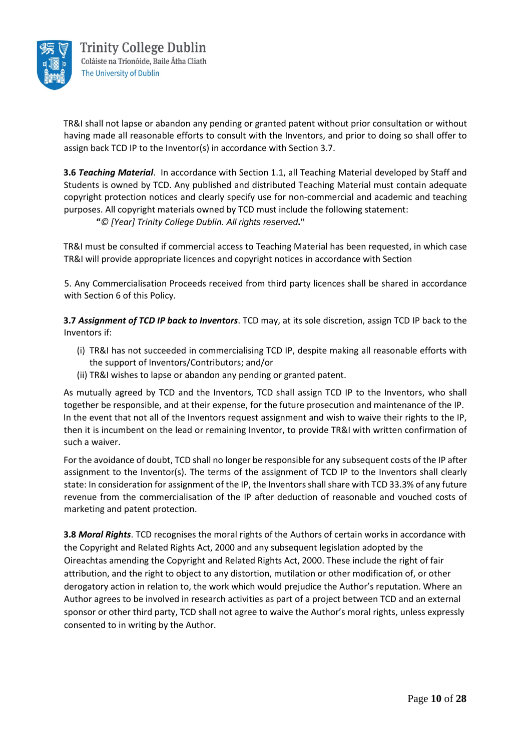

TR&I shall not lapse or abandon any pending or granted patent without prior consultation or without having made all reasonable efforts to consult with the Inventors, and prior to doing so shall offer to assign back TCD IP to the Inventor(s) in accordance with Section 3.7.

**3.6** *Teaching Material*. In accordance with Section 1.1, all Teaching Material developed by Staff and Students is owned by TCD. Any published and distributed Teaching Material must contain adequate copyright protection notices and clearly specify use for non-commercial and academic and teaching purposes. All copyright materials owned by TCD must include the following statement: **"***© [Year] Trinity College Dublin. All rights reserved***."**

TR&I must be consulted if commercial access to Teaching Material has been requested, in which case TR&I will provide appropriate licences and copyright notices in accordance with Section

5. Any Commercialisation Proceeds received from third party licences shall be shared in accordance with Section 6 of this Policy.

**3.7** *Assignment of TCD IP back to Inventors*. TCD may, at its sole discretion, assign TCD IP back to the Inventors if:

- (i) TR&I has not succeeded in commercialising TCD IP, despite making all reasonable efforts with the support of Inventors/Contributors; and/or
- (ii) TR&I wishes to lapse or abandon any pending or granted patent.

As mutually agreed by TCD and the Inventors, TCD shall assign TCD IP to the Inventors, who shall together be responsible, and at their expense, for the future prosecution and maintenance of the IP. In the event that not all of the Inventors request assignment and wish to waive their rights to the IP, then it is incumbent on the lead or remaining Inventor, to provide TR&I with written confirmation of such a waiver.

For the avoidance of doubt, TCD shall no longer be responsible for any subsequent costs of the IP after assignment to the Inventor(s). The terms of the assignment of TCD IP to the Inventors shall clearly state: In consideration for assignment of the IP, the Inventors shall share with TCD 33.3% of any future revenue from the commercialisation of the IP after deduction of reasonable and vouched costs of marketing and patent protection.

**3.8** *Moral Rights*. TCD recognises the moral rights of the Authors of certain works in accordance with the Copyright and Related Rights Act, 2000 and any subsequent legislation adopted by the Oireachtas amending the Copyright and Related Rights Act, 2000. These include the right of fair attribution, and the right to object to any distortion, mutilation or other modification of, or other derogatory action in relation to, the work which would prejudice the Author's reputation. Where an Author agrees to be involved in research activities as part of a project between TCD and an external sponsor or other third party, TCD shall not agree to waive the Author's moral rights, unless expressly consented to in writing by the Author.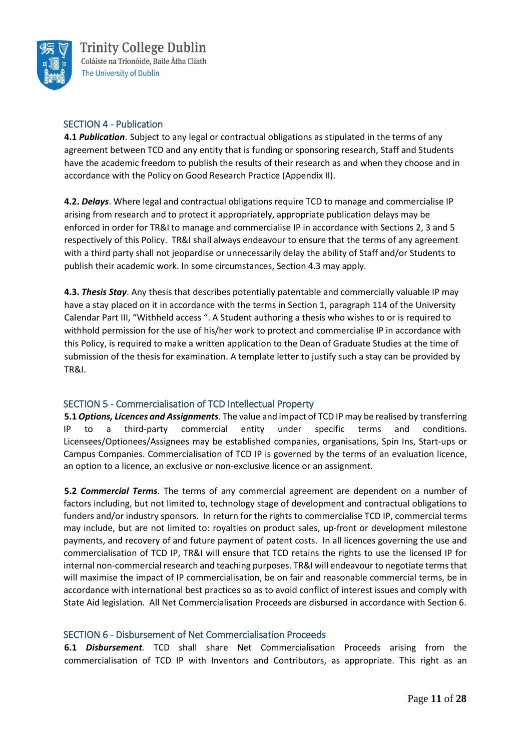

#### SECTION 4 - Publication

**4.1** *Publication*. Subject to any legal or contractual obligations as stipulated in the terms of any agreement between TCD and any entity that is funding or sponsoring research, Staff and Students have the academic freedom to publish the results of their research as and when they choose and in accordance with the Policy on Good Research Practice (Appendix II).

**4.2.** *Delays*. Where legal and contractual obligations require TCD to manage and commercialise IP arising from research and to protect it appropriately, appropriate publication delays may be enforced in order for TR&I to manage and commercialise IP in accordance with Sections 2, 3 and 5 respectively of this Policy. TR&I shall always endeavour to ensure that the terms of any agreement with a third party shall not jeopardise or unnecessarily delay the ability of Staff and/or Students to publish their academic work. In some circumstances, Section 4.3 may apply.

**4.3.** *Thesis Stay*. Any thesis that describes potentially patentable and commercially valuable IP may have a stay placed on it in accordance with the terms in Section 1, paragraph 114 of the University Calendar Part III, "Withheld access ". A Student authoring a thesis who wishes to or is required to withhold permission for the use of his/her work to protect and commercialise IP in accordance with this Policy, is required to make a written application to the Dean of Graduate Studies at the time of submission of the thesis for examination. A template letter to justify such a stay can be provided by TR&I.

#### SECTION 5 - Commercialisation of TCD Intellectual Property

**5.1** *Options, Licences and Assignments*. The value and impact of TCD IP may be realised by transferring IP to a third-party commercial entity under specific terms and conditions. Licensees/Optionees/Assignees may be established companies, organisations, Spin Ins, Start-ups or Campus Companies. Commercialisation of TCD IP is governed by the terms of an evaluation licence, an option to a licence, an exclusive or non-exclusive licence or an assignment.

**5.2** *Commercial Terms*. The terms of any commercial agreement are dependent on a number of factors including, but not limited to, technology stage of development and contractual obligations to funders and/or industry sponsors. In return for the rights to commercialise TCD IP, commercial terms may include, but are not limited to: royalties on product sales, up-front or development milestone payments, and recovery of and future payment of patent costs. In all licences governing the use and commercialisation of TCD IP, TR&I will ensure that TCD retains the rights to use the licensed IP for internal non-commercial research and teaching purposes. TR&I will endeavour to negotiate terms that will maximise the impact of IP commercialisation, be on fair and reasonable commercial terms, be in accordance with international best practices so as to avoid conflict of interest issues and comply with State Aid legislation. All Net Commercialisation Proceeds are disbursed in accordance with Section 6.

#### SECTION 6 - Disbursement of Net Commercialisation Proceeds

**6.1** *Disbursement.* TCD shall share Net Commercialisation Proceeds arising from the commercialisation of TCD IP with Inventors and Contributors, as appropriate. This right as an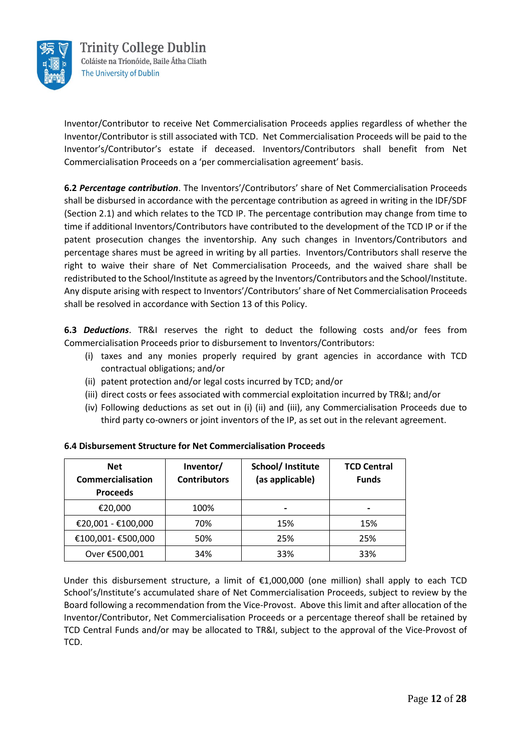

Inventor/Contributor to receive Net Commercialisation Proceeds applies regardless of whether the Inventor/Contributor is still associated with TCD. Net Commercialisation Proceeds will be paid to the Inventor's/Contributor's estate if deceased. Inventors/Contributors shall benefit from Net Commercialisation Proceeds on a 'per commercialisation agreement' basis.

**6.2** *Percentage contribution*. The Inventors'/Contributors' share of Net Commercialisation Proceeds shall be disbursed in accordance with the percentage contribution as agreed in writing in the IDF/SDF (Section 2.1) and which relates to the TCD IP. The percentage contribution may change from time to time if additional Inventors/Contributors have contributed to the development of the TCD IP or if the patent prosecution changes the inventorship. Any such changes in Inventors/Contributors and percentage shares must be agreed in writing by all parties. Inventors/Contributors shall reserve the right to waive their share of Net Commercialisation Proceeds, and the waived share shall be redistributed to the School/Institute as agreed by the Inventors/Contributors and the School/Institute. Any dispute arising with respect to Inventors'/Contributors' share of Net Commercialisation Proceeds shall be resolved in accordance with Section 13 of this Policy.

**6.3** *Deductions*. TR&I reserves the right to deduct the following costs and/or fees from Commercialisation Proceeds prior to disbursement to Inventors/Contributors:

- (i) taxes and any monies properly required by grant agencies in accordance with TCD contractual obligations; and/or
- (ii) patent protection and/or legal costs incurred by TCD; and/or
- (iii) direct costs or fees associated with commercial exploitation incurred by TR&I; and/or
- (iv) Following deductions as set out in (i) (ii) and (iii), any Commercialisation Proceeds due to third party co-owners or joint inventors of the IP, as set out in the relevant agreement.

| <b>Net</b><br><b>Commercialisation</b><br><b>Proceeds</b> | Inventor/<br><b>Contributors</b> | School/ Institute<br>(as applicable) | <b>TCD Central</b><br><b>Funds</b> |
|-----------------------------------------------------------|----------------------------------|--------------------------------------|------------------------------------|
| €20,000                                                   | 100%                             |                                      |                                    |
| €20,001 - €100,000                                        | 70%                              | 15%                                  | 15%                                |
| €100,001- €500,000                                        | 50%                              | 25%                                  | 25%                                |
| Over €500,001                                             | 34%                              | 33%                                  | 33%                                |

#### **6.4 Disbursement Structure for Net Commercialisation Proceeds**

Under this disbursement structure, a limit of €1,000,000 (one million) shall apply to each TCD School's/Institute's accumulated share of Net Commercialisation Proceeds, subject to review by the Board following a recommendation from the Vice-Provost. Above this limit and after allocation of the Inventor/Contributor, Net Commercialisation Proceeds or a percentage thereof shall be retained by TCD Central Funds and/or may be allocated to TR&I, subject to the approval of the Vice-Provost of TCD.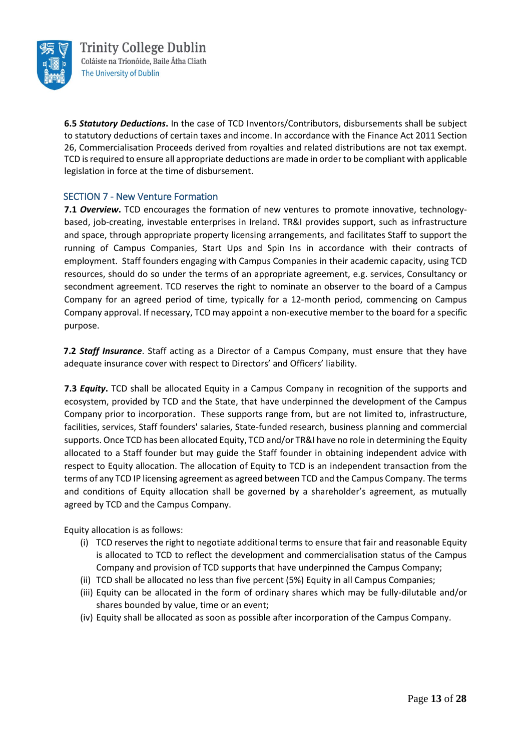

**6.5** *Statutory Deductions***.** In the case of TCD Inventors/Contributors, disbursements shall be subject to statutory deductions of certain taxes and income. In accordance with the Finance Act 2011 Section 26, Commercialisation Proceeds derived from royalties and related distributions are not tax exempt. TCD is required to ensure all appropriate deductions are made in order to be compliant with applicable legislation in force at the time of disbursement.

#### SECTION 7 - New Venture Formation

**7.1 Overview.** TCD encourages the formation of new ventures to promote innovative, technologybased, job-creating, investable enterprises in Ireland. TR&I provides support, such as infrastructure and space, through appropriate property licensing arrangements, and facilitates Staff to support the running of Campus Companies, Start Ups and Spin Ins in accordance with their contracts of employment. Staff founders engaging with Campus Companies in their academic capacity, using TCD resources, should do so under the terms of an appropriate agreement, e.g. services, Consultancy or secondment agreement. TCD reserves the right to nominate an observer to the board of a Campus Company for an agreed period of time, typically for a 12-month period, commencing on Campus Company approval. If necessary, TCD may appoint a non-executive member to the board for a specific purpose.

**7.2** *Staff Insurance*. Staff acting as a Director of a Campus Company, must ensure that they have adequate insurance cover with respect to Directors' and Officers' liability.

**7.3** *Equity***.** TCD shall be allocated Equity in a Campus Company in recognition of the supports and ecosystem, provided by TCD and the State, that have underpinned the development of the Campus Company prior to incorporation. These supports range from, but are not limited to, infrastructure, facilities, services, Staff founders' salaries, State-funded research, business planning and commercial supports. Once TCD has been allocated Equity, TCD and/or TR&I have no role in determining the Equity allocated to a Staff founder but may guide the Staff founder in obtaining independent advice with respect to Equity allocation. The allocation of Equity to TCD is an independent transaction from the terms of any TCD IP licensing agreement as agreed between TCD and the Campus Company. The terms and conditions of Equity allocation shall be governed by a shareholder's agreement, as mutually agreed by TCD and the Campus Company.

Equity allocation is as follows:

- (i) TCD reserves the right to negotiate additional terms to ensure that fair and reasonable Equity is allocated to TCD to reflect the development and commercialisation status of the Campus Company and provision of TCD supports that have underpinned the Campus Company;
- (ii) TCD shall be allocated no less than five percent (5%) Equity in all Campus Companies;
- (iii) Equity can be allocated in the form of ordinary shares which may be fully-dilutable and/or shares bounded by value, time or an event;
- (iv) Equity shall be allocated as soon as possible after incorporation of the Campus Company.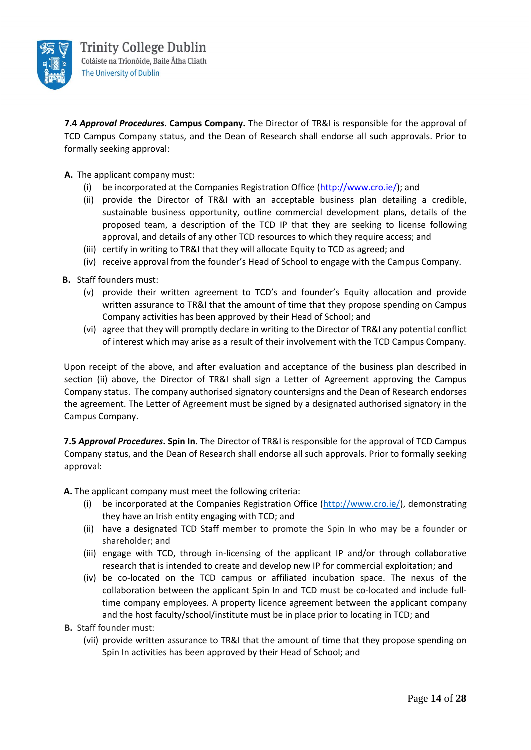

**7.4** *Approval Procedures*. **Campus Company.** The Director of TR&I is responsible for the approval of TCD Campus Company status, and the Dean of Research shall endorse all such approvals. Prior to formally seeking approval:

**A.** The applicant company must:

- (i) be incorporated at the Companies Registration Office [\(http://www.cro.ie/\);](http://www.cro.ie/) and
- (ii) provide the Director of TR&I with an acceptable business plan detailing a credible, sustainable business opportunity, outline commercial development plans, details of the proposed team, a description of the TCD IP that they are seeking to license following approval, and details of any other TCD resources to which they require access; and
- (iii) certify in writing to TR&I that they will allocate Equity to TCD as agreed; and
- (iv) receive approval from the founder's Head of School to engage with the Campus Company.
- **B.** Staff founders must:
	- (v) provide their written agreement to TCD's and founder's Equity allocation and provide written assurance to TR&I that the amount of time that they propose spending on Campus Company activities has been approved by their Head of School; and
	- (vi) agree that they will promptly declare in writing to the Director of TR&I any potential conflict of interest which may arise as a result of their involvement with the TCD Campus Company.

Upon receipt of the above, and after evaluation and acceptance of the business plan described in section (ii) above, the Director of TR&I shall sign a Letter of Agreement approving the Campus Company status. The company authorised signatory countersigns and the Dean of Research endorses the agreement. The Letter of Agreement must be signed by a designated authorised signatory in the Campus Company.

**7.5** *Approval Procedures***. Spin In.** The Director of TR&I is responsible for the approval of TCD Campus Company status, and the Dean of Research shall endorse all such approvals. Prior to formally seeking approval:

**A.** The applicant company must meet the following criteria:

- (i) be incorporated at the Companies Registration Office [\(http://www.cro.ie/\)](http://www.cro.ie/), demonstrating they have an Irish entity engaging with TCD; and
- (ii) have a designated TCD Staff member to promote the Spin In who may be a founder or shareholder; and
- (iii) engage with TCD, through in-licensing of the applicant IP and/or through collaborative research that is intended to create and develop new IP for commercial exploitation; and
- (iv) be co-located on the TCD campus or affiliated incubation space. The nexus of the collaboration between the applicant Spin In and TCD must be co-located and include fulltime company employees. A property licence agreement between the applicant company and the host faculty/school/institute must be in place prior to locating in TCD; and
- **B.** Staff founder must:
	- (vii) provide written assurance to TR&I that the amount of time that they propose spending on Spin In activities has been approved by their Head of School; and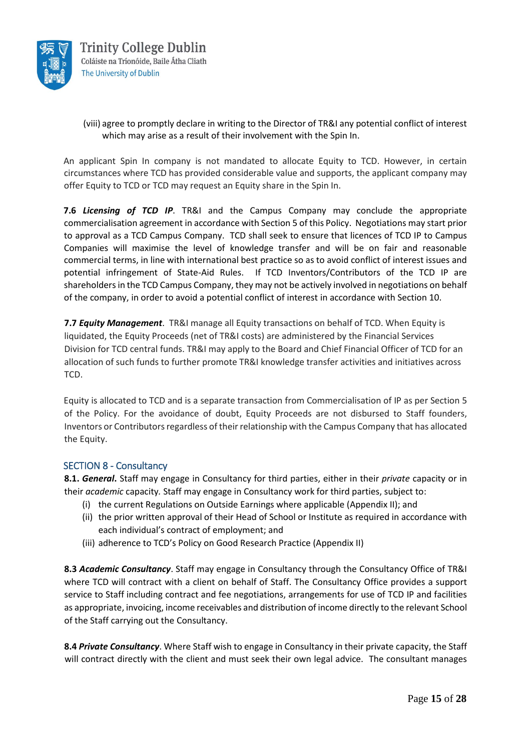

#### (viii) agree to promptly declare in writing to the Director of TR&I any potential conflict of interest which may arise as a result of their involvement with the Spin In.

An applicant Spin In company is not mandated to allocate Equity to TCD. However, in certain circumstances where TCD has provided considerable value and supports, the applicant company may offer Equity to TCD or TCD may request an Equity share in the Spin In.

**7.6** *Licensing of TCD IP*. TR&I and the Campus Company may conclude the appropriate commercialisation agreement in accordance with Section 5 of this Policy. Negotiations may start prior to approval as a TCD Campus Company. TCD shall seek to ensure that licences of TCD IP to Campus Companies will maximise the level of knowledge transfer and will be on fair and reasonable commercial terms, in line with international best practice so as to avoid conflict of interest issues and potential infringement of State-Aid Rules. If TCD Inventors/Contributors of the TCD IP are shareholders in the TCD Campus Company, they may not be actively involved in negotiations on behalf of the company, in order to avoid a potential conflict of interest in accordance with Section 10.

**7.7** *Equity Management*. TR&I manage all Equity transactions on behalf of TCD. When Equity is liquidated, the Equity Proceeds (net of TR&I costs) are administered by the Financial Services Division for TCD central funds. TR&I may apply to the Board and Chief Financial Officer of TCD for an allocation of such funds to further promote TR&I knowledge transfer activities and initiatives across TCD.

Equity is allocated to TCD and is a separate transaction from Commercialisation of IP as per Section 5 of the Policy. For the avoidance of doubt, Equity Proceeds are not disbursed to Staff founders, Inventors or Contributors regardless of their relationship with the Campus Company that has allocated the Equity.

#### SECTION 8 - Consultancy

**8.1.** *General***.** Staff may engage in Consultancy for third parties, either in their *private* capacity or in their *academic* capacity*.* Staff may engage in Consultancy work for third parties, subject to:

- (i) the current Regulations on Outside Earnings where applicable (Appendix II); and
- (ii) the prior written approval of their Head of School or Institute as required in accordance with each individual's contract of employment; and
- (iii) adherence to TCD's Policy on Good Research Practice (Appendix II)

**8.3** *Academic Consultancy*. Staff may engage in Consultancy through the Consultancy Office of TR&I where TCD will contract with a client on behalf of Staff. The Consultancy Office provides a support service to Staff including contract and fee negotiations, arrangements for use of TCD IP and facilities as appropriate, invoicing, income receivables and distribution of income directly to the relevant School of the Staff carrying out the Consultancy.

**8.4** *Private Consultancy*. Where Staff wish to engage in Consultancy in their private capacity, the Staff will contract directly with the client and must seek their own legal advice. The consultant manages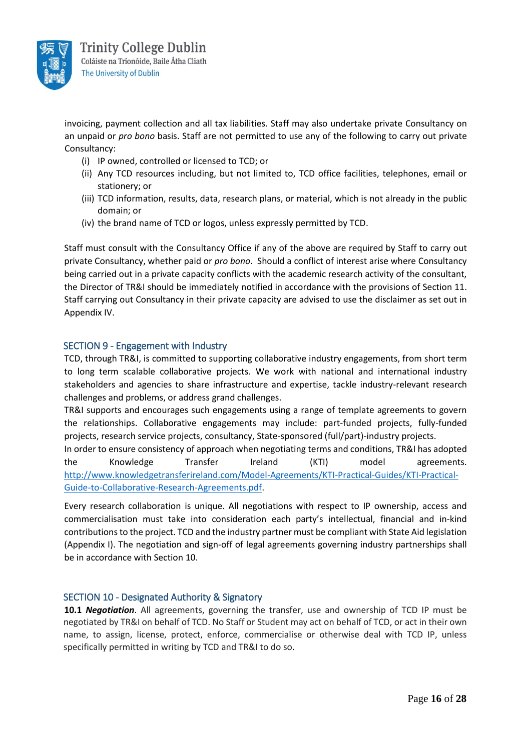

invoicing, payment collection and all tax liabilities. Staff may also undertake private Consultancy on an unpaid or *pro bono* basis. Staff are not permitted to use any of the following to carry out private Consultancy:

- (i) IP owned, controlled or licensed to TCD; or
- (ii) Any TCD resources including, but not limited to, TCD office facilities, telephones, email or stationery; or
- (iii) TCD information, results, data, research plans, or material, which is not already in the public domain; or
- (iv) the brand name of TCD or logos, unless expressly permitted by TCD.

Staff must consult with the Consultancy Office if any of the above are required by Staff to carry out private Consultancy, whether paid or *pro bono*. Should a conflict of interest arise where Consultancy being carried out in a private capacity conflicts with the academic research activity of the consultant, the Director of TR&I should be immediately notified in accordance with the provisions of Section 11. Staff carrying out Consultancy in their private capacity are advised to use the disclaimer as set out in Appendix IV.

#### SECTION 9 - Engagement with Industry

TCD, through TR&I, is committed to supporting collaborative industry engagements, from short term to long term scalable collaborative projects. We work with national and international industry stakeholders and agencies to share infrastructure and expertise, tackle industry-relevant research challenges and problems, or address grand challenges.

TR&I supports and encourages such engagements using a range of template agreements to govern the relationships. Collaborative engagements may include: part-funded projects, fully-funded projects, research service projects, consultancy, State-sponsored (full/part)-industry projects.

In order to ensure consistency of approach when negotiating terms and conditions, TR&I has adopted the Knowledge Transfer Ireland (KTI) model agreements. [http://www.knowledgetransferireland.com/Model-Agreements/KTI-Practical-Guides/KTI-Practical-](http://www.knowledgetransferireland.com/Model-Agreements/KTI-Practical-Guides/KTI-Practical-Guide-to-Collaborative-Research-Agreements.pdf)[Guide-to-Collaborative-Research-Agreements.pdf.](http://www.knowledgetransferireland.com/Model-Agreements/KTI-Practical-Guides/KTI-Practical-Guide-to-Collaborative-Research-Agreements.pdf)

Every research collaboration is unique. All negotiations with respect to IP ownership, access and commercialisation must take into consideration each party's intellectual, financial and in-kind contributions to the project. TCD and the industry partner must be compliant with State Aid legislation (Appendix I). The negotiation and sign-off of legal agreements governing industry partnerships shall be in accordance with Section 10.

#### SECTION 10 - Designated Authority & Signatory

**10.1** *Negotiation*. All agreements, governing the transfer, use and ownership of TCD IP must be negotiated by TR&I on behalf of TCD. No Staff or Student may act on behalf of TCD, or act in their own name, to assign, license, protect, enforce, commercialise or otherwise deal with TCD IP, unless specifically permitted in writing by TCD and TR&I to do so.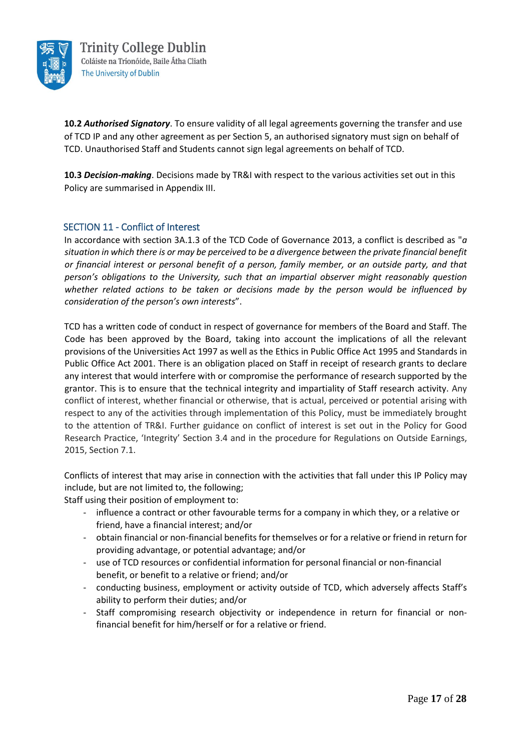

**10.2** *Authorised Signatory*. To ensure validity of all legal agreements governing the transfer and use of TCD IP and any other agreement as per Section 5, an authorised signatory must sign on behalf of TCD. Unauthorised Staff and Students cannot sign legal agreements on behalf of TCD.

**10.3** *Decision-making*. Decisions made by TR&I with respect to the various activities set out in this Policy are summarised in Appendix III.

#### SECTION 11 - Conflict of Interest

In accordance with section 3A.1.3 of the TCD Code of Governance 2013, a conflict is described as "*a situation in which there is or may be perceived to be a divergence between the private financial benefit or financial interest or personal benefit of a person, family member, or an outside party, and that person's obligations to the University, such that an impartial observer might reasonably question whether related actions to be taken or decisions made by the person would be influenced by consideration of the person's own interests*".

TCD has a written code of conduct in respect of governance for members of the Board and Staff. The Code has been approved by the Board, taking into account the implications of all the relevant provisions of the Universities Act 1997 as well as the Ethics in Public Office Act 1995 and Standards in Public Office Act 2001. There is an obligation placed on Staff in receipt of research grants to declare any interest that would interfere with or compromise the performance of research supported by the grantor. This is to ensure that the technical integrity and impartiality of Staff research activity. Any conflict of interest, whether financial or otherwise, that is actual, perceived or potential arising with respect to any of the activities through implementation of this Policy, must be immediately brought to the attention of TR&I. Further guidance on conflict of interest is set out in the Policy for Good Research Practice, 'Integrity' Section 3.4 and in the procedure for Regulations on Outside Earnings, 2015, Section 7.1.

Conflicts of interest that may arise in connection with the activities that fall under this IP Policy may include, but are not limited to, the following;

Staff using their position of employment to:

- influence a contract or other favourable terms for a company in which they, or a relative or friend, have a financial interest; and/or
- obtain financial or non-financial benefits for themselves or for a relative or friend in return for providing advantage, or potential advantage; and/or
- use of TCD resources or confidential information for personal financial or non-financial benefit, or benefit to a relative or friend; and/or
- conducting business, employment or activity outside of TCD, which adversely affects Staff's ability to perform their duties; and/or
- Staff compromising research objectivity or independence in return for financial or nonfinancial benefit for him/herself or for a relative or friend.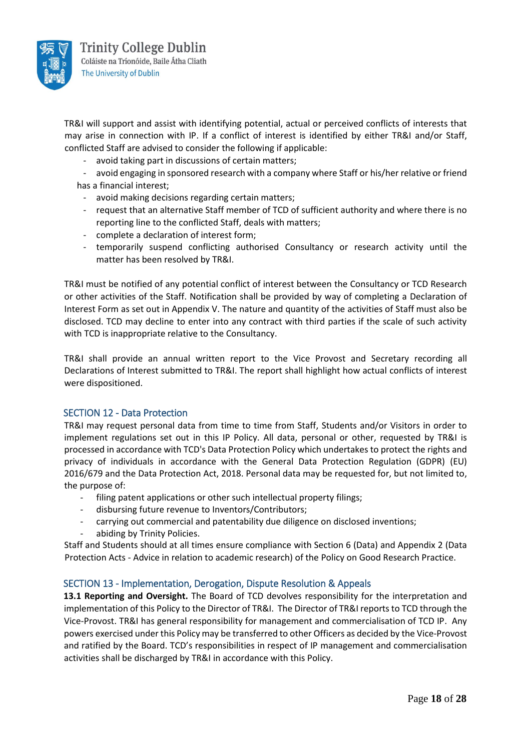

TR&I will support and assist with identifying potential, actual or perceived conflicts of interests that may arise in connection with IP. If a conflict of interest is identified by either TR&I and/or Staff, conflicted Staff are advised to consider the following if applicable:

- avoid taking part in discussions of certain matters;
- avoid engaging in sponsored research with a company where Staff or his/her relative or friend has a financial interest;
	- avoid making decisions regarding certain matters;
	- request that an alternative Staff member of TCD of sufficient authority and where there is no reporting line to the conflicted Staff, deals with matters;
	- complete a declaration of interest form;
	- temporarily suspend conflicting authorised Consultancy or research activity until the matter has been resolved by TR&I.

TR&I must be notified of any potential conflict of interest between the Consultancy or TCD Research or other activities of the Staff. Notification shall be provided by way of completing a Declaration of Interest Form as set out in Appendix V. The nature and quantity of the activities of Staff must also be disclosed. TCD may decline to enter into any contract with third parties if the scale of such activity with TCD is inappropriate relative to the Consultancy.

TR&I shall provide an annual written report to the Vice Provost and Secretary recording all Declarations of Interest submitted to TR&I. The report shall highlight how actual conflicts of interest were dispositioned.

#### SECTION 12 - Data Protection

TR&I may request personal data from time to time from Staff, Students and/or Visitors in order to implement regulations set out in this IP Policy. All data, personal or other, requested by TR&I is processed in accordance with TCD's Data Protection Policy which undertakes to protect the rights and privacy of individuals in accordance with the General Data Protection Regulation (GDPR) (EU) 2016/679 and the Data Protection Act, 2018. Personal data may be requested for, but not limited to, the purpose of:

- filing patent applications or other such intellectual property filings;
- disbursing future revenue to Inventors/Contributors;
- carrying out commercial and patentability due diligence on disclosed inventions;
- abiding by Trinity Policies.

Staff and Students should at all times ensure compliance with Section 6 (Data) and Appendix 2 (Data Protection Acts - Advice in relation to academic research) of the Policy on Good Research Practice.

#### SECTION 13 - Implementation, Derogation, Dispute Resolution & Appeals

**13.1 Reporting and Oversight.** The Board of TCD devolves responsibility for the interpretation and implementation of this Policy to the Director of TR&I. The Director of TR&I reports to TCD through the Vice-Provost. TR&I has general responsibility for management and commercialisation of TCD IP. Any powers exercised under this Policy may be transferred to other Officers as decided by the Vice-Provost and ratified by the Board. TCD's responsibilities in respect of IP management and commercialisation activities shall be discharged by TR&I in accordance with this Policy.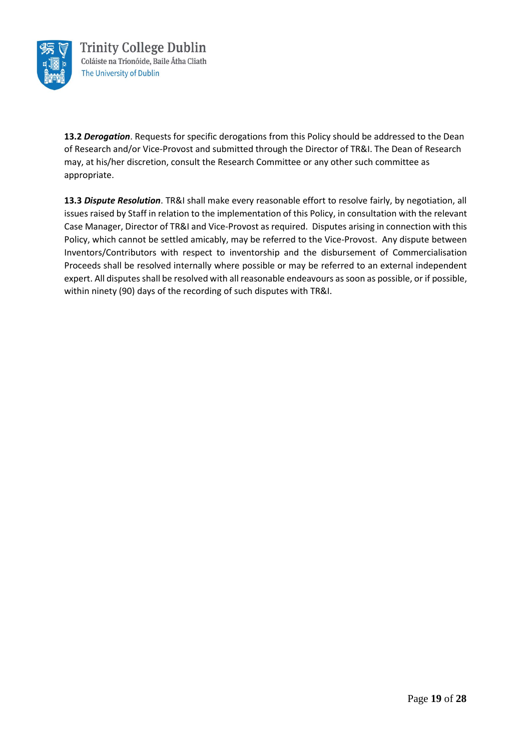

**13.2** *Derogation*. Requests for specific derogations from this Policy should be addressed to the Dean of Research and/or Vice-Provost and submitted through the Director of TR&I. The Dean of Research may, at his/her discretion, consult the Research Committee or any other such committee as appropriate.

**13.3** *Dispute Resolution*. TR&I shall make every reasonable effort to resolve fairly, by negotiation, all issues raised by Staff in relation to the implementation of this Policy, in consultation with the relevant Case Manager, Director of TR&I and Vice-Provost as required. Disputes arising in connection with this Policy, which cannot be settled amicably, may be referred to the Vice-Provost. Any dispute between Inventors/Contributors with respect to inventorship and the disbursement of Commercialisation Proceeds shall be resolved internally where possible or may be referred to an external independent expert. All disputes shall be resolved with all reasonable endeavours as soon as possible, or if possible, within ninety (90) days of the recording of such disputes with TR&I.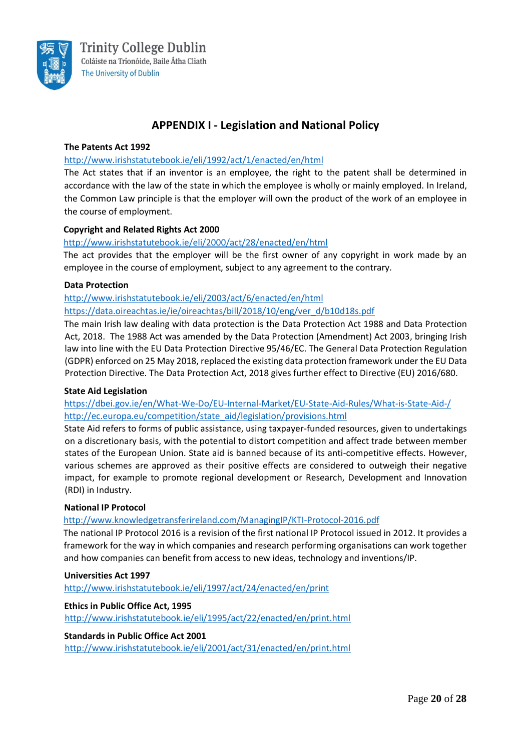

# **APPENDIX I - Legislation and National Policy**

#### **The Patents Act 1992**

#### <http://www.irishstatutebook.ie/eli/1992/act/1/enacted/en/html>

The Act states that if an inventor is an employee, the right to the patent shall be determined in accordance with the law of the state in which the employee is wholly or mainly employed. In Ireland, the Common Law principle is that the employer will own the product of the work of an employee in the course of employment.

#### **Copyright and Related Rights Act 2000**

#### <http://www.irishstatutebook.ie/eli/2000/act/28/enacted/en/html>

The act provides that the employer will be the first owner of any copyright in work made by an employee in the course of employment, subject to any agreement to the contrary.

#### **Data Protection**

<http://www.irishstatutebook.ie/eli/2003/act/6/enacted/en/html>

[https://data.oireachtas.ie/ie/oireachtas/bill/2018/10/eng/ver\\_d/b10d18s.pdf](https://data.oireachtas.ie/ie/oireachtas/bill/2018/10/eng/ver_d/b10d18s.pdf)

The main Irish law dealing with data protection is the Data Protection Act 1988 and Data Protection Act, 2018. The 1988 Act was amended by the Data Protection (Amendment) Act 2003, bringing Irish law into line with the EU Data Protection Directive 95/46/EC. The General Data Protection Regulation (GDPR) enforced on 25 May 2018, replaced the existing data protection framework under the EU Data Protection Directive. The Data Protection Act, 2018 gives further effect to Directive (EU) 2016/680.

#### **State Aid Legislation**

<https://dbei.gov.ie/en/What-We-Do/EU-Internal-Market/EU-State-Aid-Rules/What-is-State-Aid-/> [http://ec.europa.eu/competition/state\\_aid/legislation/provisions.html](http://ec.europa.eu/competition/state_aid/legislation/provisions.html)

State Aid refers to forms of public assistance, using taxpayer-funded resources, given to undertakings on a discretionary basis, with the potential to distort competition and affect trade between member states of the European Union. State aid is banned because of its anti-competitive effects. However, various schemes are approved as their positive effects are considered to outweigh their negative impact, for example to promote regional development or Research, Development and Innovation (RDI) in Industry.

#### **National IP Protocol**

#### <http://www.knowledgetransferireland.com/ManagingIP/KTI-Protocol-2016.pdf>

The national IP Protocol 2016 is a revision of the first national IP Protocol issued in 2012. It provides a framework for the way in which companies and research performing organisations can work together and how companies can benefit from access to new ideas, technology and inventions/IP.

#### **Universities Act 1997**

<http://www.irishstatutebook.ie/eli/1997/act/24/enacted/en/print>

#### **Ethics in Public Office Act, 1995**

<http://www.irishstatutebook.ie/eli/1995/act/22/enacted/en/print.html>

#### **Standards in Public Office Act 2001**

<http://www.irishstatutebook.ie/eli/2001/act/31/enacted/en/print.html>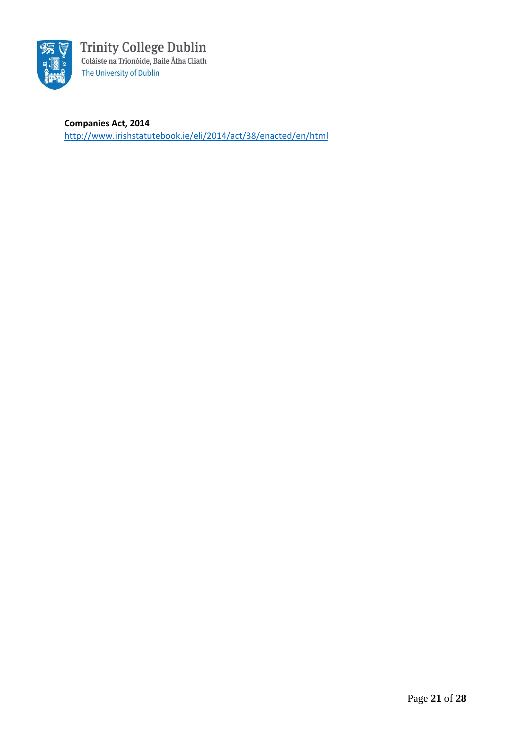

**Companies Act, 2014** <http://www.irishstatutebook.ie/eli/2014/act/38/enacted/en/html>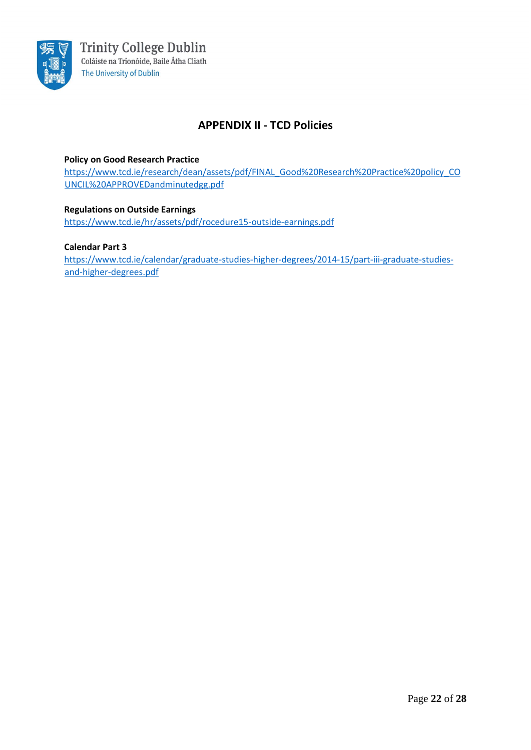

# **APPENDIX II - TCD Policies**

#### **Policy on Good Research Practice**

[https://www.tcd.ie/research/dean/assets/pdf/FINAL\\_Good%20Research%20Practice%20policy\\_CO](https://www.tcd.ie/research/dean/assets/pdf/FINAL_Good%20Research%20Practice%20policy_COUNCIL%20APPROVEDandminutedgg.pdf) [UNCIL%20APPROVEDandminutedgg.pdf](https://www.tcd.ie/research/dean/assets/pdf/FINAL_Good%20Research%20Practice%20policy_COUNCIL%20APPROVEDandminutedgg.pdf)

#### **Regulations on Outside Earnings**

<https://www.tcd.ie/hr/assets/pdf/rocedure15-outside-earnings.pdf>

#### **Calendar Part 3**

[https://www.tcd.ie/calendar/graduate-studies-higher-degrees/2014-15/part-iii-graduate-studies](https://www.tcd.ie/calendar/graduate-studies-higher-degrees/2014-15/part-iii-graduate-studies-and-higher-degrees.pdf)[and-higher-degrees.pdf](https://www.tcd.ie/calendar/graduate-studies-higher-degrees/2014-15/part-iii-graduate-studies-and-higher-degrees.pdf)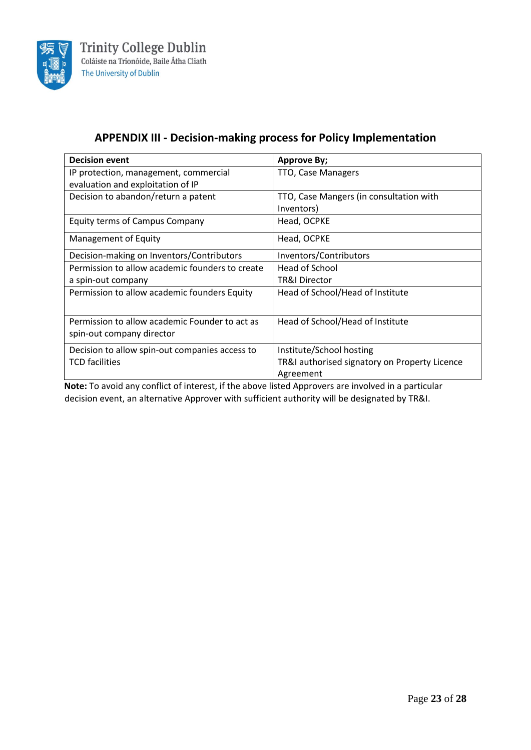

# **APPENDIX III - Decision-making process for Policy Implementation**

| <b>Decision event</b>                           | <b>Approve By;</b>                            |
|-------------------------------------------------|-----------------------------------------------|
| IP protection, management, commercial           | TTO, Case Managers                            |
| evaluation and exploitation of IP               |                                               |
| Decision to abandon/return a patent             | TTO, Case Mangers (in consultation with       |
|                                                 | Inventors)                                    |
| <b>Equity terms of Campus Company</b>           | Head, OCPKE                                   |
| Management of Equity                            | Head, OCPKE                                   |
| Decision-making on Inventors/Contributors       | Inventors/Contributors                        |
| Permission to allow academic founders to create | Head of School                                |
| a spin-out company                              | <b>TR&amp;I Director</b>                      |
| Permission to allow academic founders Equity    | Head of School/Head of Institute              |
|                                                 |                                               |
| Permission to allow academic Founder to act as  | Head of School/Head of Institute              |
| spin-out company director                       |                                               |
| Decision to allow spin-out companies access to  | Institute/School hosting                      |
| <b>TCD</b> facilities                           | TR&I authorised signatory on Property Licence |
|                                                 | Agreement                                     |

**Note:** To avoid any conflict of interest, if the above listed Approvers are involved in a particular decision event, an alternative Approver with sufficient authority will be designated by TR&I.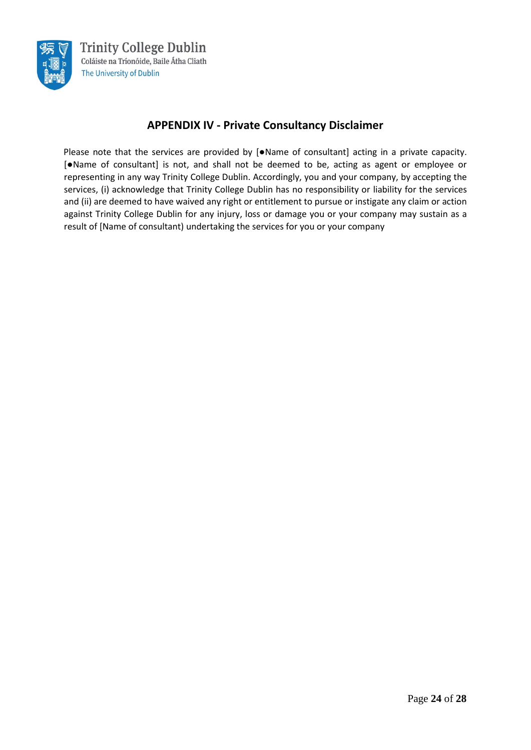

# **APPENDIX IV - Private Consultancy Disclaimer**

Please note that the services are provided by [●Name of consultant] acting in a private capacity. [●Name of consultant] is not, and shall not be deemed to be, acting as agent or employee or representing in any way Trinity College Dublin. Accordingly, you and your company, by accepting the services, (i) acknowledge that Trinity College Dublin has no responsibility or liability for the services and (ii) are deemed to have waived any right or entitlement to pursue or instigate any claim or action against Trinity College Dublin for any injury, loss or damage you or your company may sustain as a result of [Name of consultant) undertaking the services for you or your company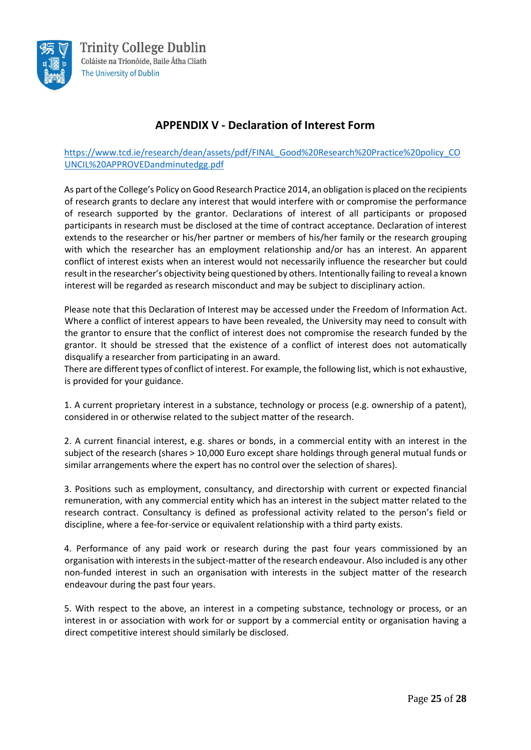

# **APPENDIX V - Declaration of Interest Form**

#### [https://www.tcd.ie/research/dean/assets/pdf/FINAL\\_Good%20Research%20Practice%20policy\\_CO](https://www.tcd.ie/research/dean/assets/pdf/FINAL_Good%20Research%20Practice%20policy_COUNCIL%20APPROVEDandminutedgg.pdf) [UNCIL%20APPROVEDandminutedgg.pdf](https://www.tcd.ie/research/dean/assets/pdf/FINAL_Good%20Research%20Practice%20policy_COUNCIL%20APPROVEDandminutedgg.pdf)

As part of the College's [Policy on Good Research Practice 2014,](https://www.tcd.ie/research/dean/assets/pdf/FINAL_Good%20Research%20Practice%20policy_COUNCIL%20APPROVEDandminutedgg.pdf) an obligation is placed on the recipients of research grants to declare any interest that would interfere with or compromise the performance of research supported by the grantor. Declarations of interest of all participants or proposed participants in research must be disclosed at the time of contract acceptance. Declaration of interest extends to the researcher or his/her partner or members of his/her family or the research grouping with which the researcher has an employment relationship and/or has an interest. An apparent conflict of interest exists when an interest would not necessarily influence the researcher but could result in the researcher's objectivity being questioned by others. Intentionally failing to reveal a known interest will be regarded as research misconduct and may be subject to disciplinary action.

Please note that this Declaration of Interest may be accessed under the Freedom of Information Act. Where a conflict of interest appears to have been revealed, the University may need to consult with the grantor to ensure that the conflict of interest does not compromise the research funded by the grantor. It should be stressed that the existence of a conflict of interest does not automatically disqualify a researcher from participating in an award.

There are different types of conflict of interest. For example, the following list, which is not exhaustive, is provided for your guidance.

1. A current proprietary interest in a substance, technology or process (e.g. ownership of a patent), considered in or otherwise related to the subject matter of the research.

2. A current financial interest, e.g. shares or bonds, in a commercial entity with an interest in the subject of the research (shares > 10,000 Euro except share holdings through general mutual funds or similar arrangements where the expert has no control over the selection of shares).

3. Positions such as employment, consultancy, and directorship with current or expected financial remuneration, with any commercial entity which has an interest in the subject matter related to the research contract. Consultancy is defined as professional activity related to the person's field or discipline, where a fee-for-service or equivalent relationship with a third party exists.

4. Performance of any paid work or research during the past four years commissioned by an organisation with interests in the subject-matter of the research endeavour. Also included is any other non-funded interest in such an organisation with interests in the subject matter of the research endeavour during the past four years.

5. With respect to the above, an interest in a competing substance, technology or process, or an interest in or association with work for or support by a commercial entity or organisation having a direct competitive interest should similarly be disclosed.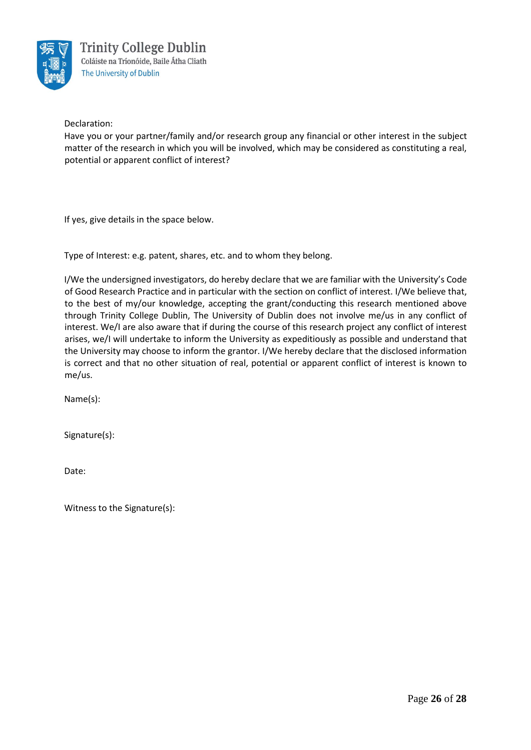

Declaration:

Have you or your partner/family and/or research group any financial or other interest in the subject matter of the research in which you will be involved, which may be considered as constituting a real, potential or apparent conflict of interest?

If yes, give details in the space below.

Type of Interest: e.g. patent, shares, etc. and to whom they belong.

I/We the undersigned investigators, do hereby declare that we are familiar with the University's Code of Good Research Practice and in particular with the section on conflict of interest. I/We believe that, to the best of my/our knowledge, accepting the grant/conducting this research mentioned above through Trinity College Dublin, The University of Dublin does not involve me/us in any conflict of interest. We/I are also aware that if during the course of this research project any conflict of interest arises, we/I will undertake to inform the University as expeditiously as possible and understand that the University may choose to inform the grantor. I/We hereby declare that the disclosed information is correct and that no other situation of real, potential or apparent conflict of interest is known to me/us.

Name(s):

Signature(s):

Date:

Witness to the Signature(s):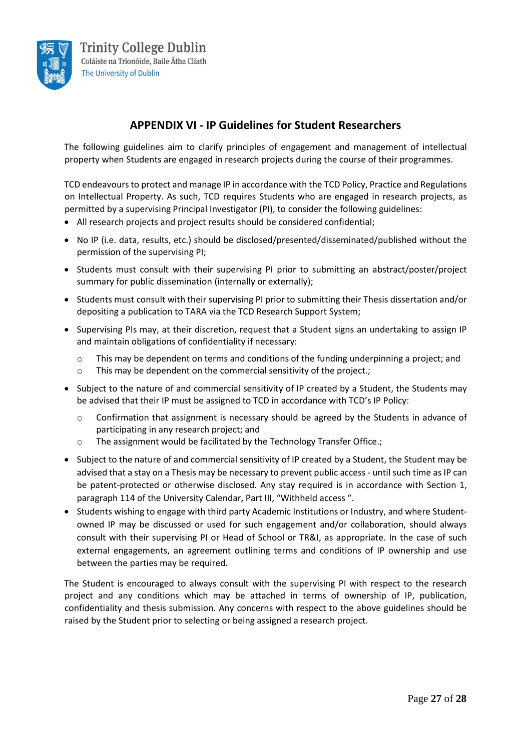

# **APPENDIX VI - IP Guidelines for Student Researchers**

The following guidelines aim to clarify principles of engagement and management of intellectual property when Students are engaged in research projects during the course of their programmes.

TCD endeavours to protect and manage IP in accordance with the TCD Policy, Practice and Regulations on Intellectual Property. As such, TCD requires Students who are engaged in research projects, as permitted by a supervising Principal Investigator (PI), to consider the following guidelines:

- All research projects and project results should be considered confidential;
- No IP (i.e. data, results, etc.) should be disclosed/presented/disseminated/published without the permission of the supervising PI;
- Students must consult with their supervising PI prior to submitting an abstract/poster/project summary for public dissemination (internally or externally);
- Students must consult with their supervising PI prior to submitting their Thesis dissertation and/or depositing a publication to TARA via the TCD Research Support System;
- Supervising PIs may, at their discretion, request that a Student signs an undertaking to assign IP and maintain obligations of confidentiality if necessary:
	- o This may be dependent on terms and conditions of the funding underpinning a project; and
	- o This may be dependent on the commercial sensitivity of the project.;
- Subject to the nature of and commercial sensitivity of IP created by a Student, the Students may be advised that their IP must be assigned to TCD in accordance with TCD's IP Policy:
	- $\circ$  Confirmation that assignment is necessary should be agreed by the Students in advance of participating in any research project; and
	- o The assignment would be facilitated by the Technology Transfer Office.;
- Subject to the nature of and commercial sensitivity of IP created by a Student, the Student may be advised that a stay on a Thesis may be necessary to prevent public access - until such time as IP can be patent-protected or otherwise disclosed. Any stay required is in accordance with Section 1, paragraph 114 of the University Calendar, Part III, "Withheld access ".
- Students wishing to engage with third party Academic Institutions or Industry, and where Studentowned IP may be discussed or used for such engagement and/or collaboration, should always consult with their supervising PI or Head of School or TR&I, as appropriate. In the case of such external engagements, an agreement outlining terms and conditions of IP ownership and use between the parties may be required.

The Student is encouraged to always consult with the supervising PI with respect to the research project and any conditions which may be attached in terms of ownership of IP, publication, confidentiality and thesis submission. Any concerns with respect to the above guidelines should be raised by the Student prior to selecting or being assigned a research project.